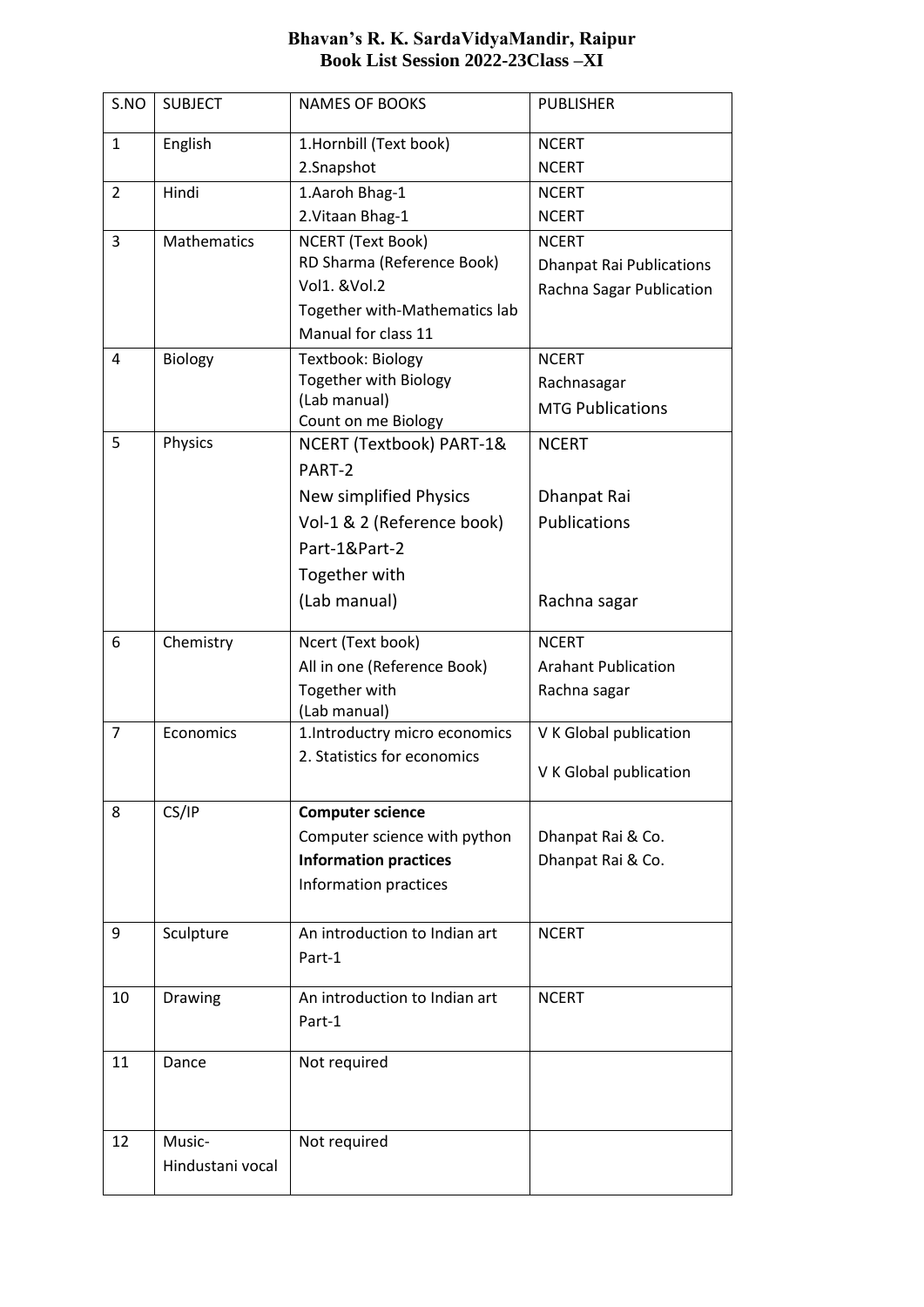| S.NO           | <b>SUBJECT</b>     | <b>NAMES OF BOOKS</b>                             | <b>PUBLISHER</b>                |  |
|----------------|--------------------|---------------------------------------------------|---------------------------------|--|
| $\mathbf{1}$   | English            | 1.Hornbill (Text book)                            | <b>NCERT</b>                    |  |
|                |                    | 2.Snapshot                                        | <b>NCERT</b>                    |  |
| $\overline{2}$ | Hindi              | 1.Aaroh Bhag-1                                    | <b>NCERT</b>                    |  |
|                |                    | 2. Vitaan Bhag-1                                  | <b>NCERT</b>                    |  |
| 3              | <b>Mathematics</b> | <b>NCERT (Text Book)</b>                          | <b>NCERT</b>                    |  |
|                |                    | RD Sharma (Reference Book)                        | <b>Dhanpat Rai Publications</b> |  |
|                |                    | Vol1. & Vol.2                                     | Rachna Sagar Publication        |  |
|                |                    | Together with-Mathematics lab                     |                                 |  |
|                |                    | Manual for class 11                               |                                 |  |
| 4              | Biology            | Textbook: Biology<br><b>Together with Biology</b> | <b>NCERT</b>                    |  |
|                |                    | (Lab manual)                                      | Rachnasagar                     |  |
|                |                    | Count on me Biology                               | <b>MTG Publications</b>         |  |
| 5              | Physics            | NCERT (Textbook) PART-1&                          | <b>NCERT</b>                    |  |
|                |                    | PART-2                                            |                                 |  |
|                |                    | New simplified Physics                            | Dhanpat Rai                     |  |
|                |                    | Vol-1 & 2 (Reference book)                        | <b>Publications</b>             |  |
|                |                    | Part-1&Part-2                                     |                                 |  |
|                |                    | Together with                                     |                                 |  |
|                |                    | (Lab manual)                                      | Rachna sagar                    |  |
|                |                    |                                                   |                                 |  |
| 6              | Chemistry          | Ncert (Text book)                                 | <b>NCERT</b>                    |  |
|                |                    | All in one (Reference Book)                       | <b>Arahant Publication</b>      |  |
|                |                    | Together with                                     | Rachna sagar                    |  |
| $\overline{7}$ | Economics          | (Lab manual)<br>1.Introductry micro economics     | V K Global publication          |  |
|                |                    | 2. Statistics for economics                       |                                 |  |
|                |                    |                                                   | V K Global publication          |  |
| 8              | CS/IP              | <b>Computer science</b>                           |                                 |  |
|                |                    | Computer science with python                      | Dhanpat Rai & Co.               |  |
|                |                    | <b>Information practices</b>                      | Dhanpat Rai & Co.               |  |
|                |                    | Information practices                             |                                 |  |
|                |                    |                                                   |                                 |  |
| 9              | Sculpture          | An introduction to Indian art                     | <b>NCERT</b>                    |  |
|                |                    | Part-1                                            |                                 |  |
| 10             | Drawing            | An introduction to Indian art                     | <b>NCERT</b>                    |  |
|                |                    | Part-1                                            |                                 |  |
|                |                    |                                                   |                                 |  |
| 11             | Dance              | Not required                                      |                                 |  |
|                |                    |                                                   |                                 |  |
|                |                    |                                                   |                                 |  |
| 12             | Music-             | Not required                                      |                                 |  |
|                | Hindustani vocal   |                                                   |                                 |  |
|                |                    |                                                   |                                 |  |

## **Bhavan's R. K. SardaVidyaMandir, Raipur Book List Session 2022-23Class –XI**